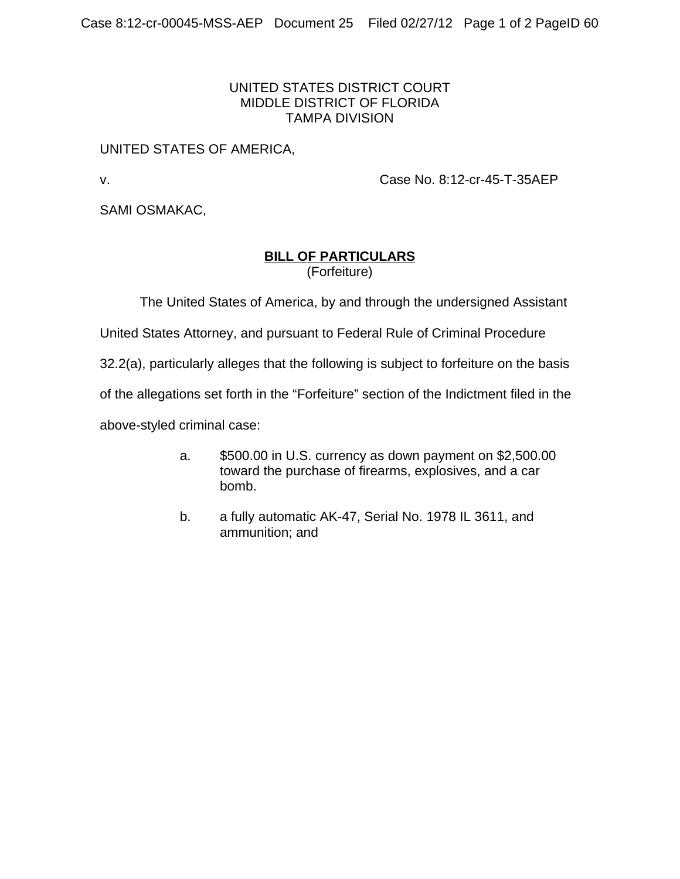## UNITED STATES DISTRICT COURT MIDDLE DISTRICT OF FLORIDA TAMPA DIVISION

## UNITED STATES OF AMERICA,

v. Case No. 8:12-cr-45-T-35AEP

SAMI OSMAKAC,

## **BILL OF PARTICULARS**

(Forfeiture)

The United States of America, by and through the undersigned Assistant

United States Attorney, and pursuant to Federal Rule of Criminal Procedure

32.2(a), particularly alleges that the following is subject to forfeiture on the basis

of the allegations set forth in the "Forfeiture" section of the Indictment filed in the

above-styled criminal case:

- a. \$500.00 in U.S. currency as down payment on \$2,500.00 toward the purchase of firearms, explosives, and a car bomb.
- b. a fully automatic AK-47, Serial No. 1978 IL 3611, and ammunition; and